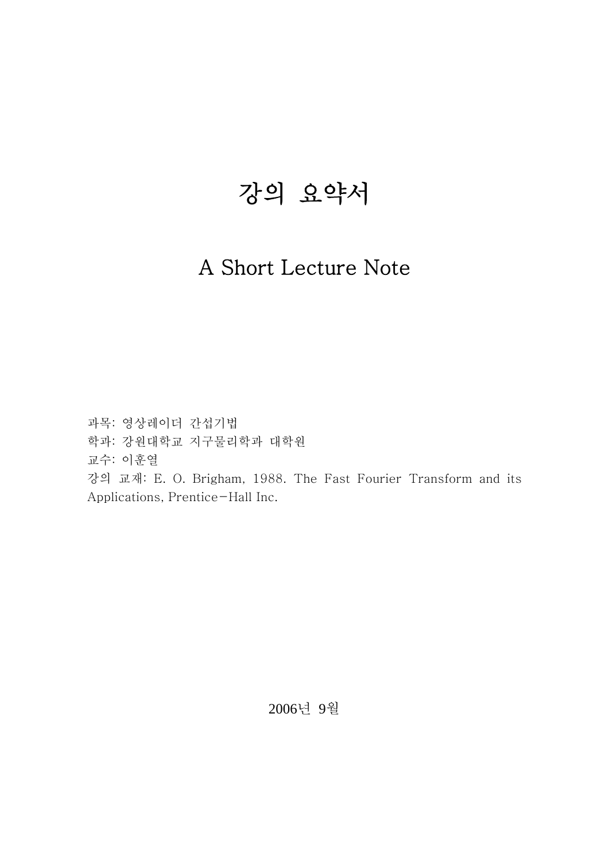# 강의 요약서

# A Short Lecture Note

과목: 영상레이더 간섭기법 학과: 강원대학교 지구물리학과 대학원 교수: 이훈열 강의 교재: E. O. Brigham, 1988. The Fast Fourier Transform and its Applications, Prentice-Hall Inc.

2006년 9월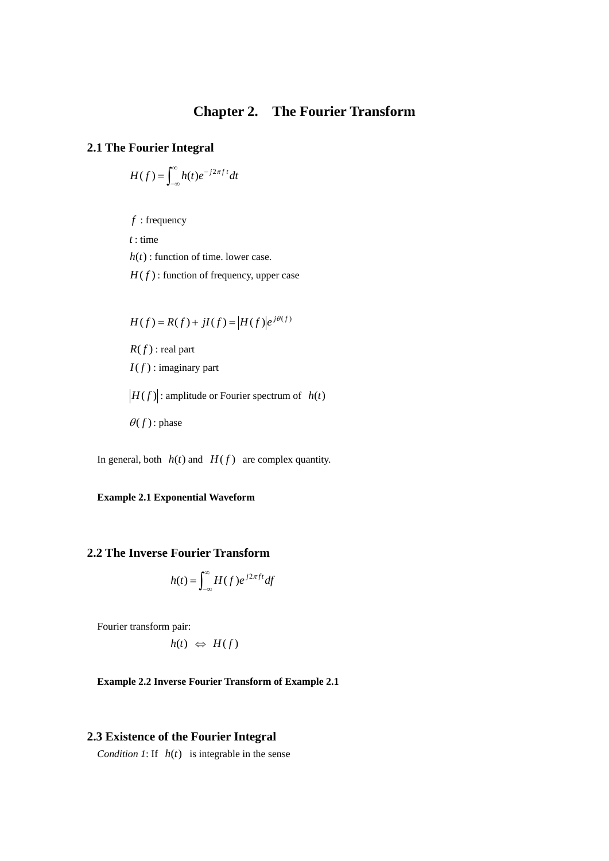# **Chapter 2. The Fourier Transform**

#### **2.1 The Fourier Integral**

$$
H(f) = \int_{-\infty}^{\infty} h(t)e^{-j2\pi ft}dt
$$

*f* : frequency

*t* : time

 $h(t)$ : function of time. lower case.

 $H(f)$ : function of frequency, upper case

$$
H(f) = R(f) + jI(f) = |H(f)|e^{j\theta(f)}
$$

 $R(f)$ : real part

 $I(f)$ : imaginary part

 $\left|H(f)\right|$ : amplitude or Fourier spectrum of  $h(t)$ 

 $\theta(f)$ : phase

In general, both  $h(t)$  and  $H(f)$  are complex quantity.

**Example 2.1 Exponential Waveform** 

# **2.2 The Inverse Fourier Transform**

$$
h(t) = \int_{-\infty}^{\infty} H(f) e^{j2\pi ft} df
$$

Fourier transform pair:

$$
h(t) \Leftrightarrow H(f)
$$

#### **Example 2.2 Inverse Fourier Transform of Example 2.1**

#### **2.3 Existence of the Fourier Integral**

*Condition 1*: If  $h(t)$  is integrable in the sense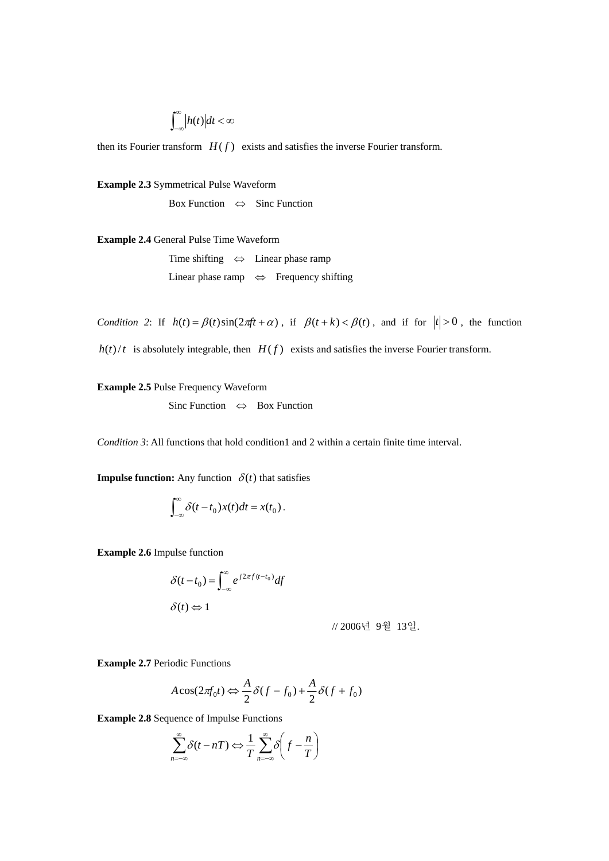$$
\int_{-\infty}^{\infty} \Big| h(t) \Big| dt < \infty
$$

then its Fourier transform  $H(f)$  exists and satisfies the inverse Fourier transform.

**Example 2.3** Symmetrical Pulse Waveform

Box Function  $\Leftrightarrow$  Sinc Function

**Example 2.4** General Pulse Time Waveform

 Time shifting ⇔ Linear phase ramp Linear phase ramp ⇔ Frequency shifting

*Condition 2*: If  $h(t) = \beta(t)\sin(2\pi ft + \alpha)$ , if  $\beta(t+k) < \beta(t)$ , and if for  $|t| > 0$ , the function  $h(t)/t$  is absolutely integrable, then  $H(f)$  exists and satisfies the inverse Fourier transform.

**Example 2.5** Pulse Frequency Waveform

Sinc Function ⇔ Box Function

*Condition 3*: All functions that hold condition1 and 2 within a certain finite time interval.

**Impulse function:** Any function  $\delta(t)$  that satisfies

$$
\int_{-\infty}^{\infty} \delta(t-t_0)x(t)dt = x(t_0).
$$

**Example 2.6** Impulse function

$$
\delta(t - t_0) = \int_{-\infty}^{\infty} e^{j2\pi f (t - t_0)} df
$$

$$
\delta(t) \Leftrightarrow 1
$$

// 2006년 9월 13일.

**Example 2.7** Periodic Functions

$$
A\cos(2\pi f_0 t) \Leftrightarrow \frac{A}{2}\delta(f - f_0) + \frac{A}{2}\delta(f + f_0)
$$

**Example 2.8** Sequence of Impulse Functions

$$
\sum_{n=-\infty}^{\infty} \delta(t - nT) \Leftrightarrow \frac{1}{T} \sum_{n=-\infty}^{\infty} \delta\left(f - \frac{n}{T}\right)
$$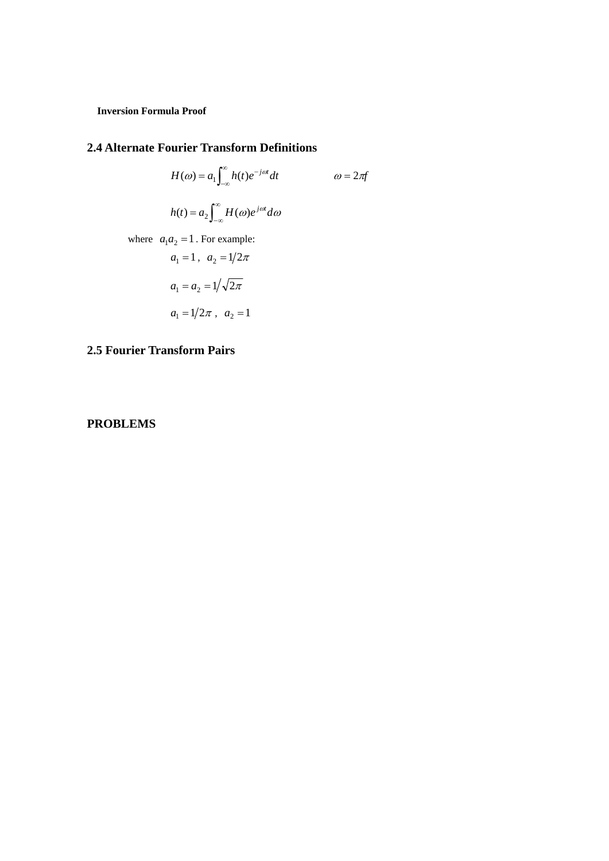**Inversion Formula Proof** 

#### **2.4 Alternate Fourier Transform Definitions**

$$
H(\omega) = a_1 \int_{-\infty}^{\infty} h(t)e^{-j\omega t} dt \qquad \qquad \omega = 2\pi f
$$

$$
h(t) = a_2 \int_{-\infty}^{\infty} H(\omega)e^{j\omega t} d\omega
$$
where  $a_1 a_2 = 1$ . For example:
$$
a_1 = 1, \quad a_2 = 1/2\pi
$$

$$
a_1 = a_2 = 1/\sqrt{2\pi}
$$
  
 $a_1 = 1/2\pi$ ,  $a_2 = 1$ 

# **2.5 Fourier Transform Pairs**

# **PROBLEMS**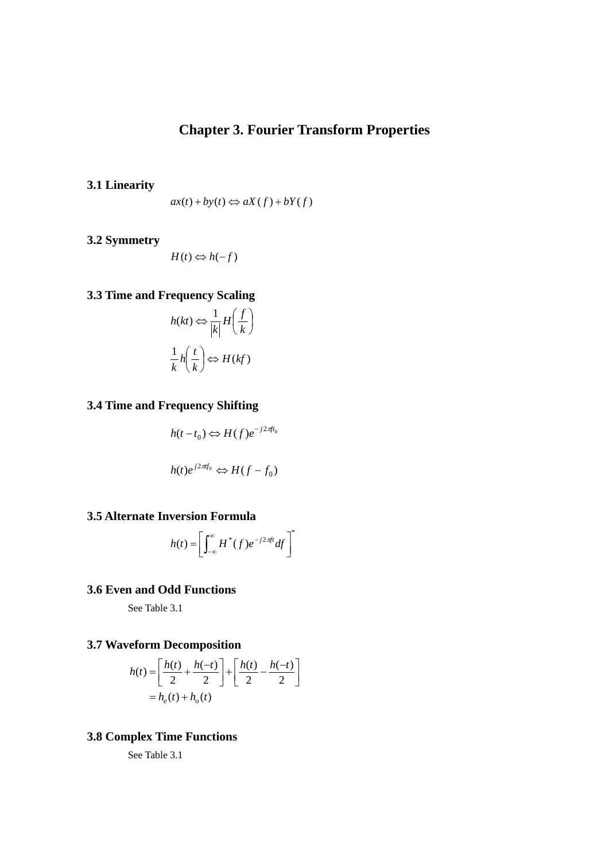# **Chapter 3. Fourier Transform Properties**

**3.1 Linearity** 

$$
ax(t) + by(t) \Leftrightarrow aX(f) + bY(f)
$$

**3.2 Symmetry** 

$$
H(t) \Leftrightarrow h(-f)
$$

# **3.3 Time and Frequency Scaling**

$$
h(kt) \Leftrightarrow \frac{1}{|k|} H\left(\frac{f}{k}\right)
$$

$$
\frac{1}{k} h\left(\frac{t}{k}\right) \Leftrightarrow H(kf)
$$

# **3.4 Time and Frequency Shifting**

$$
h(t-t_0) \Leftrightarrow H(f)e^{-j2\pi ft_0}
$$

$$
h(t)e^{j2\pi f_0} \Leftrightarrow H(f - f_0)
$$

# **3.5 Alternate Inversion Formula**

$$
h(t) = \left[ \int_{-\infty}^{\infty} H^*(f) e^{-j2\pi ft} df \right]
$$

\*

# **3.6 Even and Odd Functions**

See Table 3.1

# **3.7 Waveform Decomposition**

$$
h(t) = \left[\frac{h(t)}{2} + \frac{h(-t)}{2}\right] + \left[\frac{h(t)}{2} - \frac{h(-t)}{2}\right]
$$

$$
= h_e(t) + h_o(t)
$$

# **3.8 Complex Time Functions**

See Table 3.1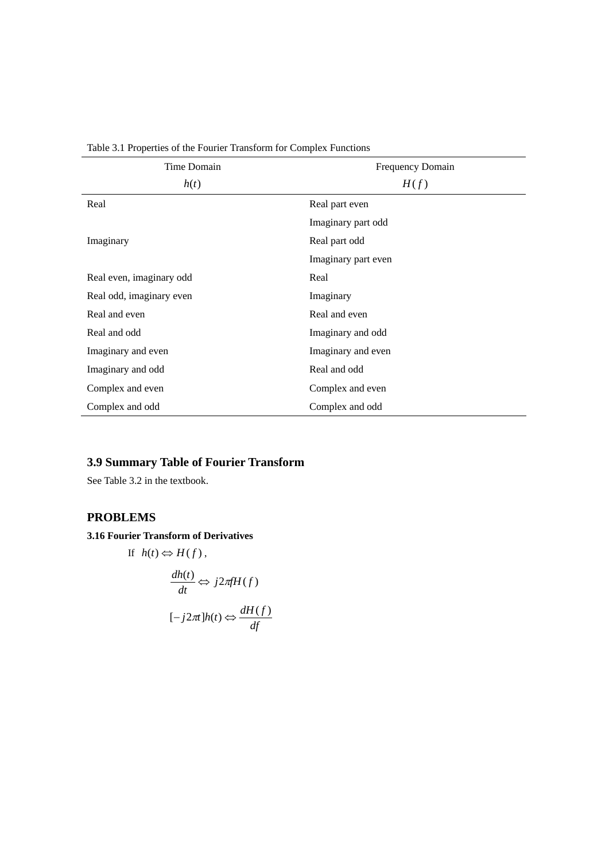| Time Domain              | Frequency Domain    |
|--------------------------|---------------------|
| h(t)                     | H(f)                |
| Real                     | Real part even      |
|                          | Imaginary part odd  |
| Imaginary                | Real part odd       |
|                          | Imaginary part even |
| Real even, imaginary odd | Real                |
| Real odd, imaginary even | Imaginary           |
| Real and even            | Real and even       |
| Real and odd             | Imaginary and odd   |
| Imaginary and even       | Imaginary and even  |
| Imaginary and odd        | Real and odd        |
| Complex and even         | Complex and even    |
| Complex and odd          | Complex and odd     |

Table 3.1 Properties of the Fourier Transform for Complex Functions

# **3.9 Summary Table of Fourier Transform**

See Table 3.2 in the textbook.

# **PROBLEMS**

# **3.16 Fourier Transform of Derivatives**

If  $h(t) \Leftrightarrow H(f)$ ,  $\frac{dh(t)}{dt} \Leftrightarrow j2\pi fH(f)$  $[-j2\pi]h(t) \Leftrightarrow \frac{dH(f)}{df}$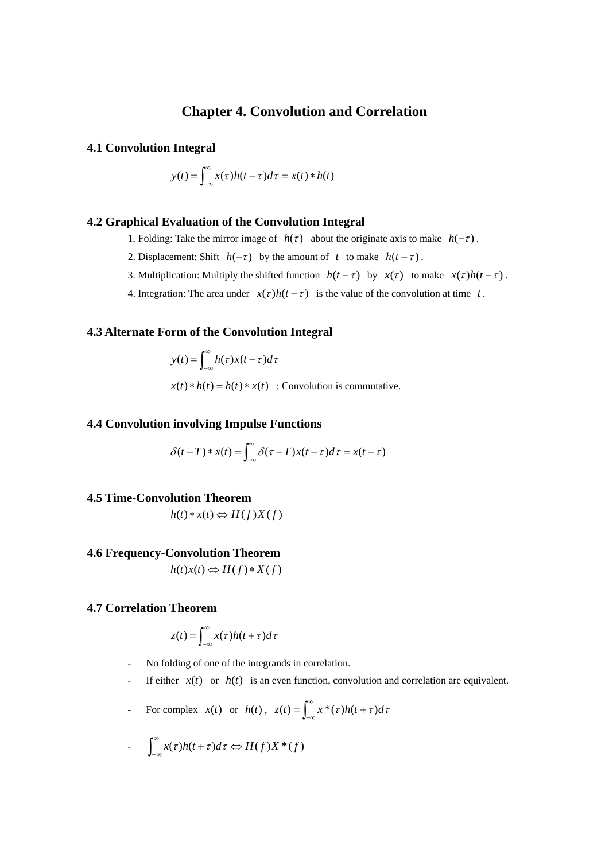# **Chapter 4. Convolution and Correlation**

#### **4.1 Convolution Integral**

$$
y(t) = \int_{-\infty}^{\infty} x(\tau)h(t-\tau)d\tau = x(t) * h(t)
$$

# **4.2 Graphical Evaluation of the Convolution Integral**

- 1. Folding: Take the mirror image of  $h(\tau)$  about the originate axis to make  $h(-\tau)$ .
- 2. Displacement: Shift  $h(-\tau)$  by the amount of *t* to make  $h(t-\tau)$ .
- 3. Multiplication: Multiply the shifted function  $h(t \tau)$  by  $x(\tau)$  to make  $x(\tau)h(t \tau)$ .
- 4. Integration: The area under  $x(\tau)h(t-\tau)$  is the value of the convolution at time *t*.

#### **4.3 Alternate Form of the Convolution Integral**

$$
y(t) = \int_{-\infty}^{\infty} h(\tau)x(t-\tau)d\tau
$$
  
x(t)\*h(t) = h(t)\*x(t) : Convolution is commutative.

#### **4.4 Convolution involving Impulse Functions**

$$
\delta(t-T) * x(t) = \int_{-\infty}^{\infty} \delta(\tau - T) x(t-\tau) d\tau = x(t-\tau)
$$

#### **4.5 Time-Convolution Theorem**

$$
h(t) * x(t) \Leftrightarrow H(f)X(f)
$$

#### **4.6 Frequency-Convolution Theorem**

 $h(t)x(t) \Leftrightarrow H(f)*X(f)$ 

#### **4.7 Correlation Theorem**

$$
z(t) = \int_{-\infty}^{\infty} x(\tau)h(t+\tau)d\tau
$$

- No folding of one of the integrands in correlation.
- If either  $x(t)$  or  $h(t)$  is an even function, convolution and correlation are equivalent.
- For complex  $x(t)$  or  $h(t)$ ,  $z(t) = \int_{-\infty}^{\infty} x^*(\tau)h(t+\tau)d\tau$

$$
- \int_{-\infty}^{\infty} x(\tau)h(t+\tau)d\tau \Leftrightarrow H(f)X^*(f)
$$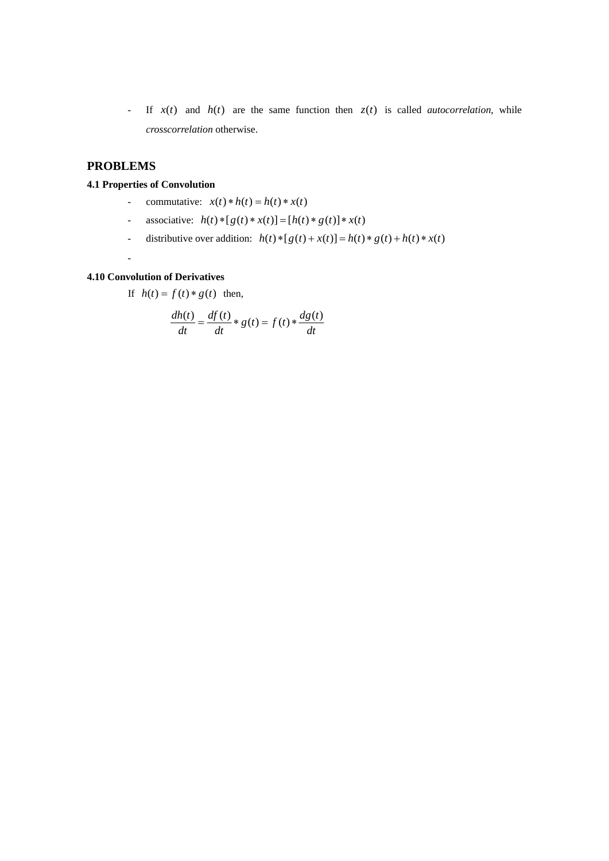- If  $x(t)$  and  $h(t)$  are the same function then  $z(t)$  is called *autocorrelation*, while *crosscorrelation* otherwise.

# **PROBLEMS**

#### **4.1 Properties of Convolution**

- commutative:  $x(t) * h(t) = h(t) * x(t)$
- associative:  $h(t) * [g(t) * x(t)] = [h(t) * g(t)] * x(t)$
- distributive over addition:  $h(t) * [g(t) + x(t)] = h(t) * g(t) + h(t) * x(t)$
- -

# **4.10 Convolution of Derivatives**

If  $h(t) = f(t) * g(t)$  then,

$$
\frac{dh(t)}{dt} = \frac{df(t)}{dt} * g(t) = f(t) * \frac{dg(t)}{dt}
$$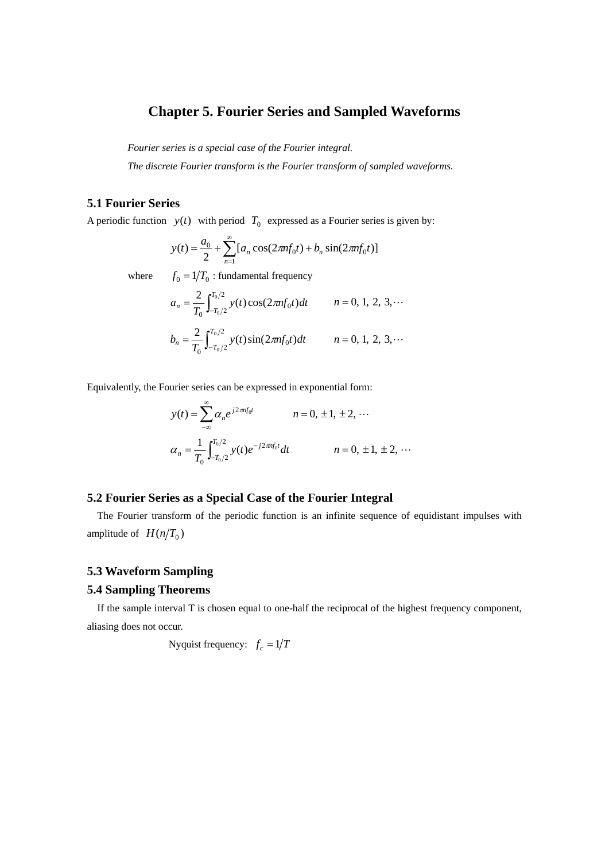# **Chapter 5. Fourier Series and Sampled Waveforms**

*Fourier series is a special case of the Fourier integral.* 

*The discrete Fourier transform is the Fourier transform of sampled waveforms.* 

# **5.1 Fourier Series**

A periodic function  $y(t)$  with period  $T_0$  expressed as a Fourier series is given by:

$$
y(t) = \frac{a_0}{2} + \sum_{n=1}^{\infty} [a_n \cos(2\pi n f_0 t) + b_n \sin(2\pi n f_0 t)]
$$

where  $f_0 = 1/T_0$ : fundamental frequency

$$
a_n = \frac{2}{T_0} \int_{-T_0/2}^{T_0/2} y(t) \cos(2\pi n f_0 t) dt \qquad n = 0, 1, 2, 3, \cdots
$$

$$
b_n = \frac{2}{T_0} \int_{-T_0/2}^{T_0/2} y(t) \sin(2\pi n f_0 t) dt \qquad n = 0, 1, 2, 3, \cdots
$$

Equivalently, the Fourier series can be expressed in exponential form:

$$
y(t) = \sum_{-\infty}^{\infty} \alpha_n e^{j2\pi n f_0 t} \qquad n = 0, \pm 1, \pm 2, \cdots
$$

$$
\alpha_n = \frac{1}{T_0} \int_{-T_0/2}^{T_0/2} y(t) e^{-j2\pi n f_0 t} dt \qquad n = 0, \pm 1, \pm 2, \cdots
$$

# **5.2 Fourier Series as a Special Case of the Fourier Integral**

The Fourier transform of the periodic function is an infinite sequence of equidistant impulses with amplitude of  $H(n/T_0)$ 

#### **5.3 Waveform Sampling**

## **5.4 Sampling Theorems**

If the sample interval T is chosen equal to one-half the reciprocal of the highest frequency component, aliasing does not occur.

Nyquist frequency:  $f_c = 1/T$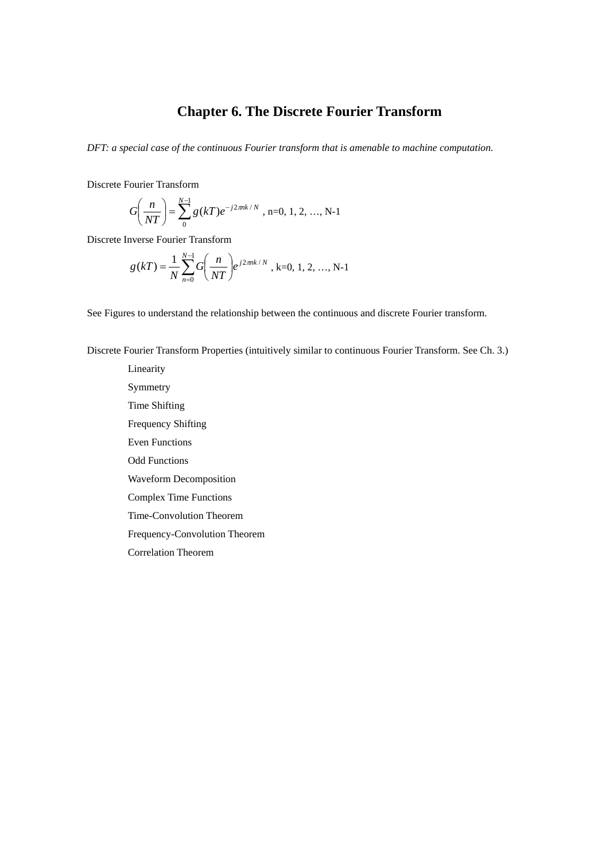# **Chapter 6. The Discrete Fourier Transform**

*DFT: a special case of the continuous Fourier transform that is amenable to machine computation.* 

Discrete Fourier Transform

$$
G\left(\frac{n}{NT}\right) = \sum_{0}^{N-1} g(kT)e^{-j2\pi nk/N}, \text{ n=0, 1, 2, ..., N-1}
$$

Discrete Inverse Fourier Transform

$$
g(kT) = \frac{1}{N} \sum_{n=0}^{N-1} G\left(\frac{n}{NT}\right) e^{j2\pi nk/N}, k=0, 1, 2, ..., N-1
$$

See Figures to understand the relationship between the continuous and discrete Fourier transform.

Discrete Fourier Transform Properties (intuitively similar to continuous Fourier Transform. See Ch. 3.)

Linearity Symmetry Time Shifting Frequency Shifting Even Functions Odd Functions Waveform Decomposition Complex Time Functions Time-Convolution Theorem Frequency-Convolution Theorem Correlation Theorem